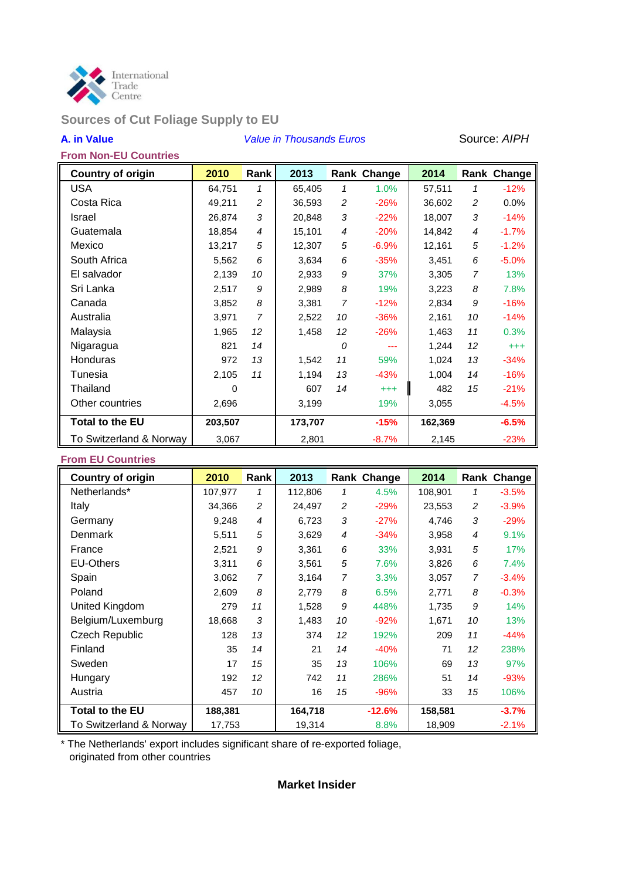

# **Sources of Cut Foliage Supply to EU**

# **A. in Value** *Value in Thousands Euros* Source: *AIPH*

# **From Non-EU Countries**

| <b>Country of origin</b> | 2010     | Rank           | 2013    |                | Rank Change | 2014    |                | Rank Change |
|--------------------------|----------|----------------|---------|----------------|-------------|---------|----------------|-------------|
| <b>USA</b>               | 64,751   | 1              | 65,405  | 1              | 1.0%        | 57,511  | 1              | $-12%$      |
| Costa Rica               | 49,211   | $\overline{c}$ | 36,593  | $\overline{c}$ | $-26%$      | 36,602  | 2              | $0.0\%$     |
| Israel                   | 26,874   | 3              | 20,848  | 3              | $-22%$      | 18,007  | 3              | $-14%$      |
| Guatemala                | 18,854   | 4              | 15,101  | 4              | $-20%$      | 14,842  | 4              | $-1.7%$     |
| Mexico                   | 13,217   | 5              | 12,307  | 5              | $-6.9%$     | 12,161  | 5              | $-1.2%$     |
| South Africa             | 5,562    | 6              | 3,634   | 6              | $-35%$      | 3,451   | 6              | $-5.0%$     |
| El salvador              | 2,139    | 10             | 2,933   | 9              | 37%         | 3,305   | $\overline{7}$ | 13%         |
| Sri Lanka                | 2,517    | 9              | 2,989   | 8              | 19%         | 3,223   | 8              | 7.8%        |
| Canada                   | 3,852    | 8              | 3,381   | $\overline{7}$ | $-12%$      | 2,834   | 9              | $-16%$      |
| Australia                | 3,971    | $\overline{7}$ | 2,522   | 10             | $-36%$      | 2,161   | 10             | $-14%$      |
| Malaysia                 | 1,965    | 12             | 1,458   | 12             | $-26%$      | 1,463   | 11             | 0.3%        |
| Nigaragua                | 821      | 14             |         | 0              | ---         | 1,244   | 12             | $^{+++}$    |
| <b>Honduras</b>          | 972      | 13             | 1,542   | 11             | 59%         | 1,024   | 13             | $-34%$      |
| Tunesia                  | 2,105    | 11             | 1,194   | 13             | $-43%$      | 1,004   | 14             | $-16%$      |
| Thailand                 | $\Omega$ |                | 607     | 14             | $^{+++}$    | 482     | 15             | $-21%$      |
| Other countries          | 2,696    |                | 3,199   |                | 19%         | 3,055   |                | $-4.5%$     |
| <b>Total to the EU</b>   | 203,507  |                | 173,707 |                | $-15%$      | 162,369 |                | $-6.5%$     |
| To Switzerland & Norway  | 3,067    |                | 2,801   |                | $-8.7%$     | 2,145   |                | $-23%$      |

## **From EU Countries**

| <b>Country of origin</b> | 2010    | Rank           | 2013    |                | Rank Change | 2014    |                | Rank Change |
|--------------------------|---------|----------------|---------|----------------|-------------|---------|----------------|-------------|
| Netherlands*             | 107,977 | 1              | 112,806 | 1              | 4.5%        | 108,901 | $\mathbf 1$    | $-3.5%$     |
| Italy                    | 34,366  | 2              | 24,497  | $\overline{c}$ | $-29%$      | 23,553  | 2              | $-3.9%$     |
| Germany                  | 9,248   | $\overline{4}$ | 6,723   | 3              | $-27%$      | 4,746   | 3              | $-29%$      |
| Denmark                  | 5,511   | 5              | 3,629   | 4              | $-34%$      | 3,958   | 4              | 9.1%        |
| France                   | 2,521   | 9              | 3,361   | 6              | 33%         | 3,931   | 5              | 17%         |
| <b>EU-Others</b>         | 3,311   | 6              | 3,561   | 5              | 7.6%        | 3,826   | 6              | 7.4%        |
| Spain                    | 3,062   | $\overline{7}$ | 3,164   | $\overline{7}$ | 3.3%        | 3,057   | $\overline{7}$ | $-3.4%$     |
| Poland                   | 2,609   | 8              | 2,779   | 8              | 6.5%        | 2,771   | 8              | $-0.3%$     |
| United Kingdom           | 279     | 11             | 1,528   | 9              | 448%        | 1,735   | 9              | 14%         |
| Belgium/Luxemburg        | 18,668  | 3              | 1,483   | 10             | $-92%$      | 1,671   | 10             | 13%         |
| <b>Czech Republic</b>    | 128     | 13             | 374     | 12             | 192%        | 209     | 11             | $-44%$      |
| Finland                  | 35      | 14             | 21      | 14             | $-40%$      | 71      | 12             | 238%        |
| Sweden                   | 17      | 15             | 35      | 13             | 106%        | 69      | 13             | 97%         |
| Hungary                  | 192     | 12             | 742     | 11             | 286%        | 51      | 14             | $-93%$      |
| Austria                  | 457     | 10             | 16      | 15             | $-96%$      | 33      | 15             | 106%        |
| <b>Total to the EU</b>   | 188,381 |                | 164,718 |                | $-12.6%$    | 158,581 |                | $-3.7%$     |
| To Switzerland & Norway  | 17,753  |                | 19,314  |                | 8.8%        | 18,909  |                | $-2.1%$     |

\* The Netherlands' export includes significant share of re-exported foliage, originated from other countries

# **Market Insider**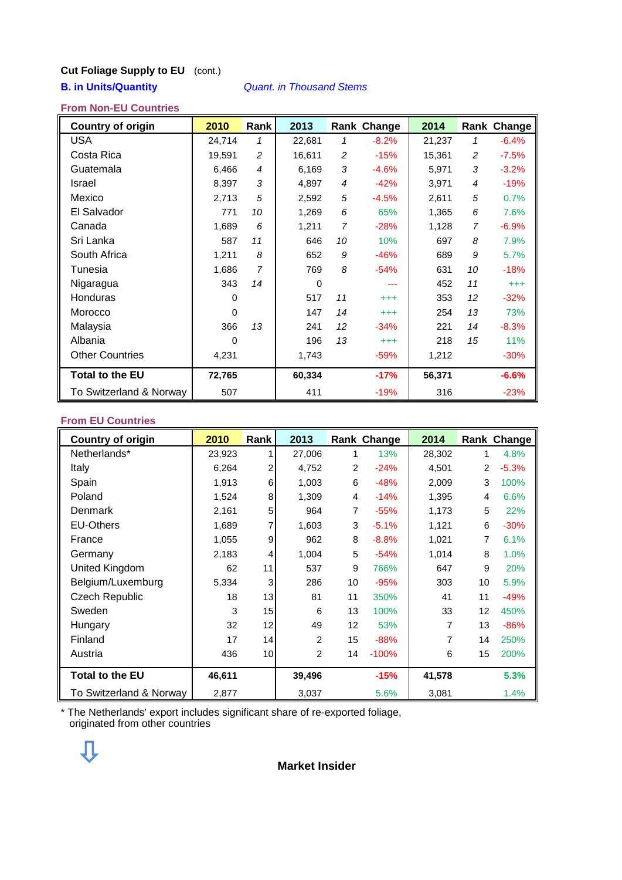# **Cut Foliage Supply to EU** (cont.)

# **B. in Units/Quantity** *Quant. in Thousand Stems*

# **From Non-EU Countries**

| <b>Country of origin</b> | 2010     | <b>Rank</b>    | 2013        |                | Rank Change | 2014   |                | Rank Change |
|--------------------------|----------|----------------|-------------|----------------|-------------|--------|----------------|-------------|
| <b>USA</b>               | 24,714   | 1              | 22,681      | 1              | $-8.2%$     | 21,237 | 1              | $-6.4%$     |
| Costa Rica               | 19,591   | 2              | 16,611      | 2              | $-15%$      | 15,361 | 2              | $-7.5%$     |
| Guatemala                | 6,466    | $\overline{4}$ | 6,169       | $\mathfrak{Z}$ | $-4.6%$     | 5,971  | 3              | $-3.2%$     |
| <b>Israel</b>            | 8,397    | 3              | 4,897       | 4              | $-42%$      | 3,971  | $\overline{4}$ | $-19%$      |
| Mexico                   | 2,713    | 5              | 2,592       | 5              | $-4.5%$     | 2,611  | 5              | 0.7%        |
| El Salvador              | 771      | 10             | 1,269       | 6              | 65%         | 1,365  | 6              | 7.6%        |
| Canada                   | 1,689    | 6              | 1,211       | 7              | $-28%$      | 1,128  | $\overline{7}$ | $-6.9%$     |
| Sri Lanka                | 587      | 11             | 646         | 10             | 10%         | 697    | 8              | 7.9%        |
| South Africa             | 1,211    | 8              | 652         | 9              | $-46%$      | 689    | 9              | 5.7%        |
| Tunesia                  | 1,686    | $\overline{7}$ | 769         | 8              | $-54%$      | 631    | 10             | $-18%$      |
| Nigaragua                | 343      | 14             | $\mathbf 0$ |                | ---         | 452    | 11             | $^{+++}$    |
| <b>Honduras</b>          | 0        |                | 517         | 11             | $^{+++}$    | 353    | 12             | $-32%$      |
| Morocco                  | 0        |                | 147         | 14             | $^{+++}$    | 254    | 13             | 73%         |
| Malaysia                 | 366      | 13             | 241         | 12             | $-34%$      | 221    | 14             | $-8.3%$     |
| Albania                  | $\Omega$ |                | 196         | 13             | $^{+++}$    | 218    | 15             | 11%         |
| <b>Other Countries</b>   | 4,231    |                | 1,743       |                | $-59%$      | 1,212  |                | $-30%$      |
| <b>Total to the EU</b>   | 72,765   |                | 60,334      |                | $-17%$      | 56,371 |                | $-6.6%$     |
| To Switzerland & Norway  | 507      |                | 411         |                | $-19%$      | 316    |                | $-23%$      |

#### **From EU Countries**

| <b>Country of origin</b> | 2010   | Rank            | 2013           |    | Rank Change | 2014   |                | Rank Change |
|--------------------------|--------|-----------------|----------------|----|-------------|--------|----------------|-------------|
| Netherlands*             | 23,923 |                 | 27,006         | 1  | 13%         | 28,302 | 1              | 4.8%        |
| Italy                    | 6,264  | $\overline{2}$  | 4,752          | 2  | $-24%$      | 4,501  | $\overline{2}$ | $-5.3%$     |
| Spain                    | 1,913  | 6               | 1,003          | 6  | $-48%$      | 2,009  | 3              | 100%        |
| Poland                   | 1,524  | 8               | 1,309          | 4  | $-14%$      | 1,395  | 4              | 6.6%        |
| Denmark                  | 2,161  | 5               | 964            | 7  | $-55%$      | 1,173  | 5              | 22%         |
| <b>EU-Others</b>         | 1,689  | 7               | 1,603          | 3  | $-5.1%$     | 1,121  | 6              | $-30%$      |
| France                   | 1,055  | 9               | 962            | 8  | $-8.8%$     | 1,021  |                | 6.1%        |
| Germany                  | 2,183  | 4               | 1,004          | 5  | $-54%$      | 1,014  | 8              | 1.0%        |
| United Kingdom           | 62     | 11              | 537            | 9  | 766%        | 647    | 9              | 20%         |
| Belgium/Luxemburg        | 5,334  | 3               | 286            | 10 | $-95%$      | 303    | 10             | 5.9%        |
| <b>Czech Republic</b>    | 18     | 13              | 81             | 11 | 350%        | 41     | 11             | $-49%$      |
| Sweden                   | 3      | 15              | 6              | 13 | 100%        | 33     | 12             | 450%        |
| Hungary                  | 32     | 12              | 49             | 12 | 53%         | 7      | 13             | $-86%$      |
| Finland                  | 17     | 14              | 2              | 15 | $-88%$      | 7      | 14             | 250%        |
| Austria                  | 436    | 10 <sub>1</sub> | $\overline{2}$ | 14 | $-100%$     | 6      | 15             | 200%        |
| <b>Total to the EU</b>   | 46,611 |                 | 39,496         |    | $-15%$      | 41,578 |                | 5.3%        |
| To Switzerland & Norway  | 2,877  |                 | 3,037          |    | 5.6%        | 3,081  |                | 1.4%        |

\* The Netherlands' export includes significant share of re-exported foliage, originated from other countries



### **Market Insider**